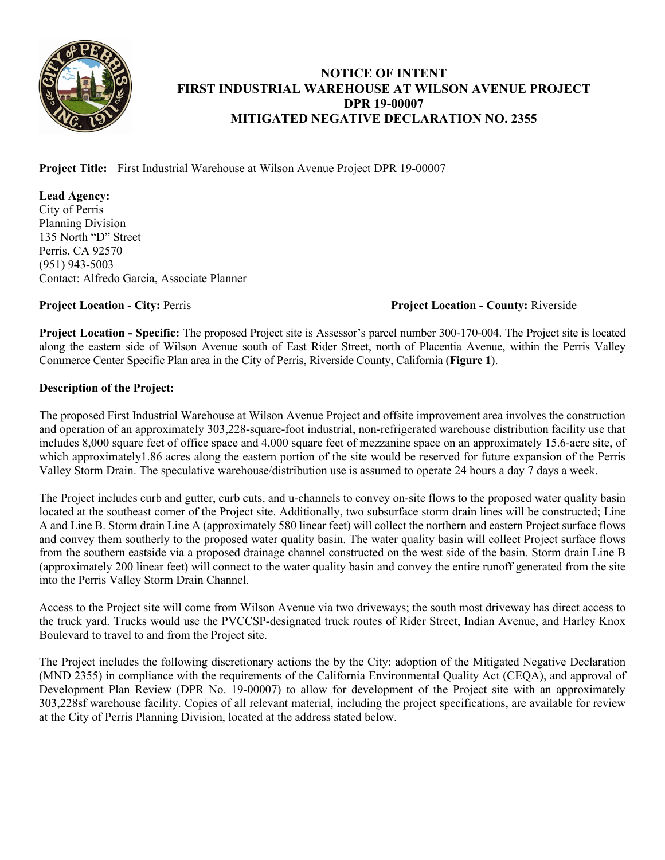

## **NOTICE OF INTENT FIRST INDUSTRIAL WAREHOUSE AT WILSON AVENUE PROJECT DPR 19-00007 MITIGATED NEGATIVE DECLARATION NO. 2355**

I

**Project Title:** First Industrial Warehouse at Wilson Avenue Project DPR 19-00007

**Lead Agency:** City of Perris Planning Division 135 North "D" Street Perris, CA 92570 (951) 943-5003 Contact: Alfredo Garcia, Associate Planner

**Project Location - City:** Perris **Project Location - County:** Riverside

**Project Location - Specific:** The proposed Project site is Assessor's parcel number 300-170-004. The Project site is located along the eastern side of Wilson Avenue south of East Rider Street, north of Placentia Avenue, within the Perris Valley Commerce Center Specific Plan area in the City of Perris, Riverside County, California (**Figure 1**).

## **Description of the Project:**

The proposed First Industrial Warehouse at Wilson Avenue Project and offsite improvement area involves the construction and operation of an approximately 303,228-square-foot industrial, non-refrigerated warehouse distribution facility use that includes 8,000 square feet of office space and 4,000 square feet of mezzanine space on an approximately 15.6-acre site, of which approximately1.86 acres along the eastern portion of the site would be reserved for future expansion of the Perris Valley Storm Drain. The speculative warehouse/distribution use is assumed to operate 24 hours a day 7 days a week.

The Project includes curb and gutter, curb cuts, and u-channels to convey on-site flows to the proposed water quality basin located at the southeast corner of the Project site. Additionally, two subsurface storm drain lines will be constructed; Line A and Line B. Storm drain Line A (approximately 580 linear feet) will collect the northern and eastern Project surface flows and convey them southerly to the proposed water quality basin. The water quality basin will collect Project surface flows from the southern eastside via a proposed drainage channel constructed on the west side of the basin. Storm drain Line B (approximately 200 linear feet) will connect to the water quality basin and convey the entire runoff generated from the site into the Perris Valley Storm Drain Channel.

Access to the Project site will come from Wilson Avenue via two driveways; the south most driveway has direct access to the truck yard. Trucks would use the PVCCSP-designated truck routes of Rider Street, Indian Avenue, and Harley Knox Boulevard to travel to and from the Project site.

The Project includes the following discretionary actions the by the City: adoption of the Mitigated Negative Declaration (MND 2355) in compliance with the requirements of the California Environmental Quality Act (CEQA), and approval of Development Plan Review (DPR No. 19-00007) to allow for development of the Project site with an approximately 303,228sf warehouse facility. Copies of all relevant material, including the project specifications, are available for review at the City of Perris Planning Division, located at the address stated below.